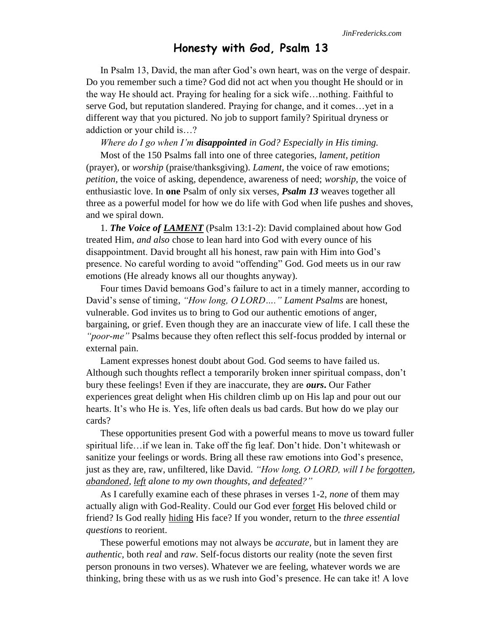## **Honesty with God, Psalm 13**

In Psalm 13, David, the man after God's own heart, was on the verge of despair. Do you remember such a time? God did not act when you thought He should or in the way He should act. Praying for healing for a sick wife…nothing. Faithful to serve God, but reputation slandered. Praying for change, and it comes…yet in a different way that you pictured. No job to support family? Spiritual dryness or addiction or your child is…?

*Where do I go when I'm disappointed in God? Especially in His timing.*

Most of the 150 Psalms fall into one of three categories, *lament, petition* (prayer), or *worship* (praise/thanksgiving). *Lament,* the voice of raw emotions; *petition,* the voice of asking, dependence, awareness of need; *worship,* the voice of enthusiastic love. In **one** Psalm of only six verses, *Psalm 13* weaves together all three as a powerful model for how we do life with God when life pushes and shoves, and we spiral down.

1. *The Voice of LAMENT* (Psalm 13:1-2): David complained about how God treated Him, *and also* chose to lean hard into God with every ounce of his disappointment. David brought all his honest, raw pain with Him into God's presence. No careful wording to avoid "offending" God. God meets us in our raw emotions (He already knows all our thoughts anyway).

Four times David bemoans God's failure to act in a timely manner, according to David's sense of timing, *"How long, O LORD…." Lament Psalms* are honest, vulnerable. God invites us to bring to God our authentic emotions of anger, bargaining, or grief. Even though they are an inaccurate view of life. I call these the *"poor-me"* Psalms because they often reflect this self-focus prodded by internal or external pain.

Lament expresses honest doubt about God. God seems to have failed us. Although such thoughts reflect a temporarily broken inner spiritual compass, don't bury these feelings! Even if they are inaccurate, they are *ours***.** Our Father experiences great delight when His children climb up on His lap and pour out our hearts. It's who He is. Yes, life often deals us bad cards. But how do we play our cards?

These opportunities present God with a powerful means to move us toward fuller spiritual life…if we lean in. Take off the fig leaf. Don't hide. Don't whitewash or sanitize your feelings or words. Bring all these raw emotions into God's presence, just as they are, raw, unfiltered, like David. *"How long, O LORD, will I be forgotten, abandoned, left alone to my own thoughts, and defeated?"*

As I carefully examine each of these phrases in verses 1-2, *none* of them may actually align with God-Reality. Could our God ever forget His beloved child or friend? Is God really hiding His face? If you wonder, return to the *three essential questions* to reorient.

These powerful emotions may not always be *accurate,* but in lament they are *authentic,* both *real* and *raw*. Self-focus distorts our reality (note the seven first person pronouns in two verses). Whatever we are feeling, whatever words we are thinking, bring these with us as we rush into God's presence. He can take it! A love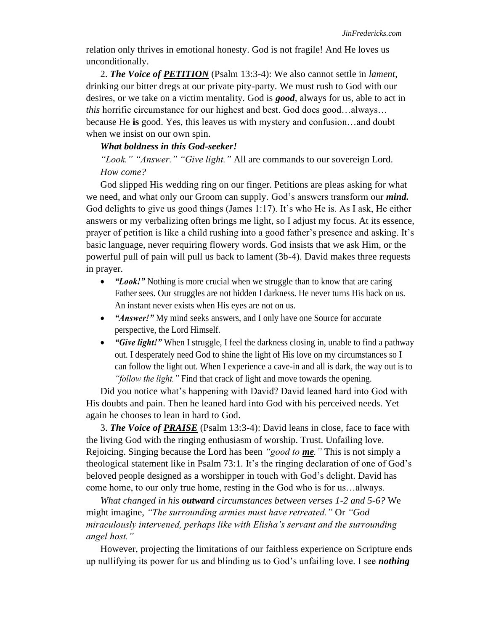relation only thrives in emotional honesty. God is not fragile! And He loves us unconditionally.

2. *The Voice of PETITION* (Psalm 13:3-4): We also cannot settle in *lament*, drinking our bitter dregs at our private pity-party. We must rush to God with our desires, or we take on a victim mentality. God is *good*, always for us, able to act in *this* horrific circumstance for our highest and best. God does good…always… because He **is** good. Yes, this leaves us with mystery and confusion…and doubt when we insist on our own spin.

## *What boldness in this God-seeker!*

*"Look." "Answer." "Give light."* All are commands to our sovereign Lord. *How come?* 

God slipped His wedding ring on our finger. Petitions are pleas asking for what we need, and what only our Groom can supply. God's answers transform our *mind.*  God delights to give us good things (James 1:17). It's who He is. As I ask, He either answers or my verbalizing often brings me light, so I adjust my focus. At its essence, prayer of petition is like a child rushing into a good father's presence and asking. It's basic language, never requiring flowery words. God insists that we ask Him, or the powerful pull of pain will pull us back to lament (3b-4). David makes three requests in prayer.

- *"Look!"* Nothing is more crucial when we struggle than to know that are caring Father sees. Our struggles are not hidden I darkness. He never turns His back on us. An instant never exists when His eyes are not on us.
- *"Answer!"* My mind seeks answers, and I only have one Source for accurate perspective, the Lord Himself.
- *"Give light!"* When I struggle, I feel the darkness closing in, unable to find a pathway out. I desperately need God to shine the light of His love on my circumstances so I can follow the light out. When I experience a cave-in and all is dark, the way out is to *"follow the light."* Find that crack of light and move towards the opening.

Did you notice what's happening with David? David leaned hard into God with His doubts and pain. Then he leaned hard into God with his perceived needs. Yet again he chooses to lean in hard to God.

3. *The Voice of PRAISE* (Psalm 13:3-4): David leans in close, face to face with the living God with the ringing enthusiasm of worship. Trust. Unfailing love. Rejoicing. Singing because the Lord has been *"good to me."* This is not simply a theological statement like in Psalm 73:1. It's the ringing declaration of one of God's beloved people designed as a worshipper in touch with God's delight. David has come home, to our only true home, resting in the God who is for us…always.

*What changed in his outward circumstances between verses 1-2 and 5-6?* We might imagine, *"The surrounding armies must have retreated."* Or *"God miraculously intervened, perhaps like with Elisha's servant and the surrounding angel host."*

However, projecting the limitations of our faithless experience on Scripture ends up nullifying its power for us and blinding us to God's unfailing love. I see *nothing*